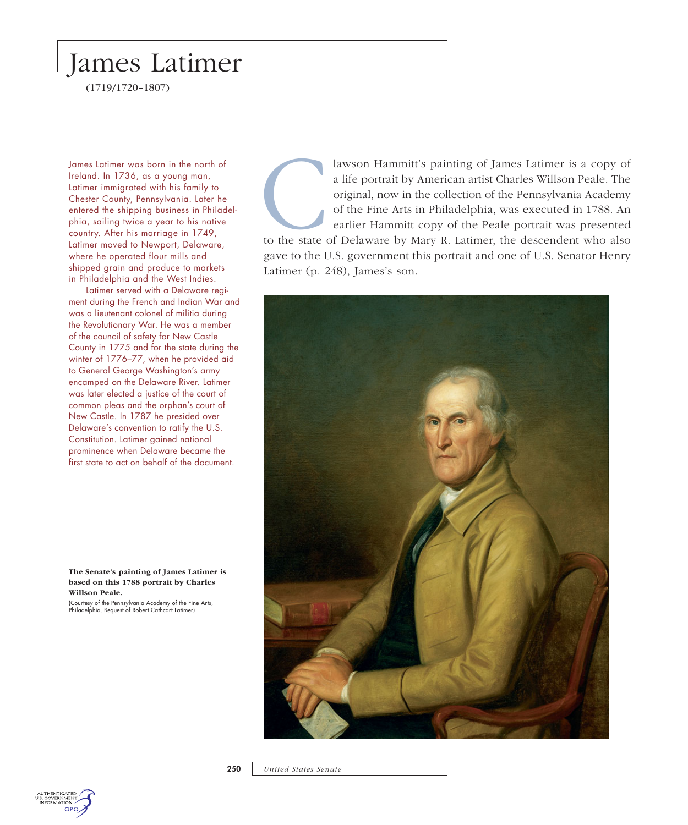## James Latimer

(1719/1720–1807)

Latimer immigrated with his family to shipped grain and produce to markets Latimer (p. 248), James's son. in Philadelphia and the West Indies.

Latimer served with a Delaware regiment during the French and Indian War and was a lieutenant colonel of militia during the Revolutionary War. He was a member of the council of safety for New Castle County in 1775 and for the state during the winter of 1776–77, when he provided aid to General George Washington's army encamped on the Delaware River. Latimer was later elected a justice of the court of common pleas and the orphan's court of New Castle. In 1787 he presided over Delaware's convention to ratify the U.S. Constitution. Latimer gained national prominence when Delaware became the first state to act on behalf of the document.

**The Senate's painting of James Latimer is based on this 1788 portrait by Charles Willson Peale.** 

(Courtesy of the Pennsylvania Academy of the Fine Arts, Philadelphia. Bequest of Robert Cathcart Latimer)

Figures Latimer was born in the north of lawson Hammitt's painting of James Latimer is a copy of a life portrait by American artist Charles Willson Peale. The Chester County, Pennsylvania. Later he<br>
Chester County, Pennsyl Ireland. In 1736, as a young man, a life portrait by American artist Charles Willson Peale. The Chester County, Pennsylvania. Later he original, now in the collection of the Pennsylvania Academy entered the shipping business in Philadel- of the Fine Arts in Philadelphia, was executed in 1788. An phia, sailing twice a year to his native earlier Hammitt copy of the Peale portrait was presented country. After his marriage in 1749, Latimer moved to Newport, Delaware, to the state of Delaware by Mary R. Latimer, the descendent who also where he operated flour mills and gave to the U.S. government this portrait and one of U.S. Senator Henry